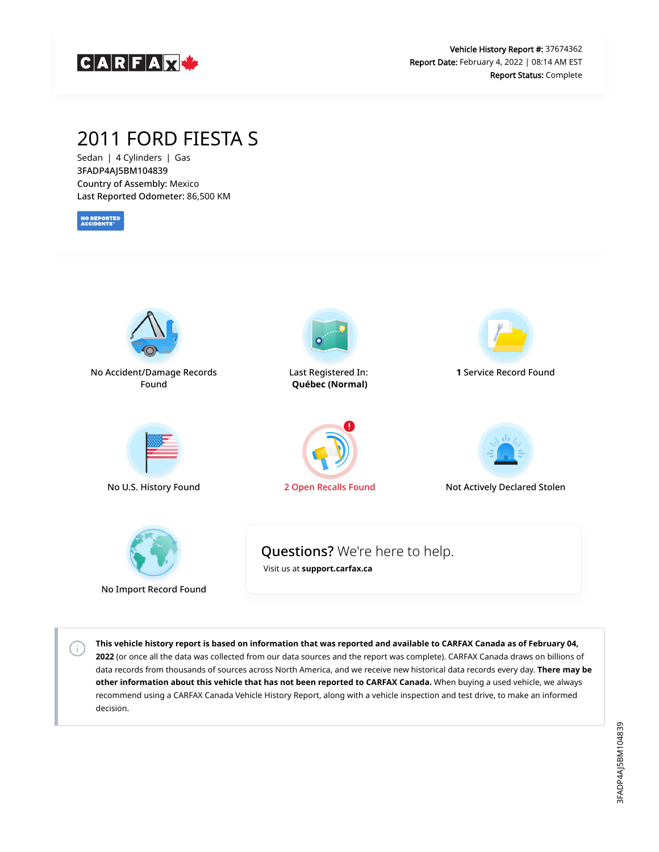

# 2011 FORD FIESTA S

Sedan | 4 Cylinders | Gas 3FADP4AJ5BM104839 Country of Assembly: Mexico Last Reported Odometer: 86,500 KM

**NO REPORTED**<br>ACCIDENTS

 $\left( i\right)$ 



**This vehicle history report is based on information that was reported and available to CARFAX Canada as of February 04, 2022** (or once all the data was collected from our data sources and the report was complete). CARFAX Canada draws on billions of data records from thousands of sources across North America, and we receive new historical data records every day. **There may be other information about this vehicle that has not been reported to CARFAX Canada.** When buying a used vehicle, we always recommend using a CARFAX Canada Vehicle History Report, along with a vehicle inspection and test drive, to make an informed decision.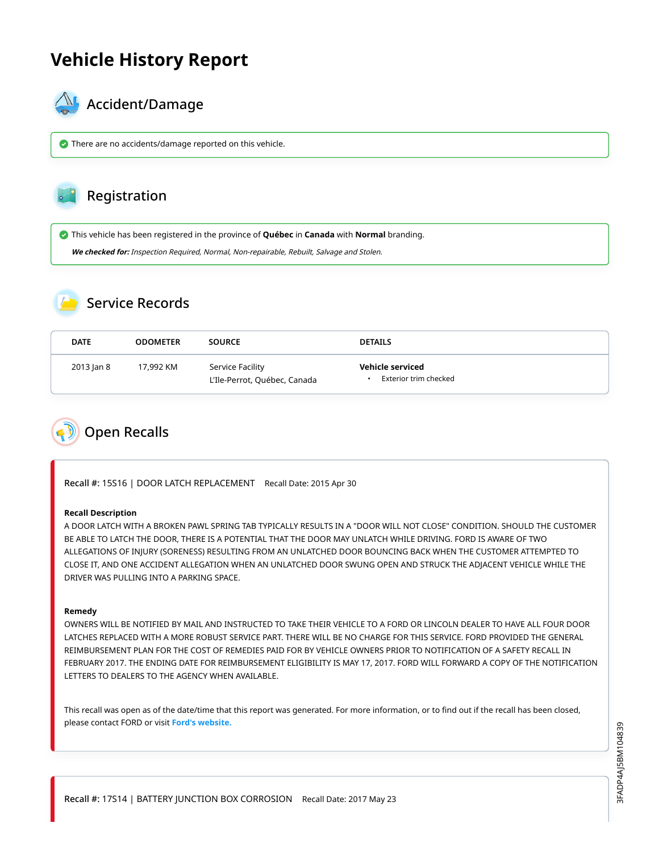# **Vehicle History Report**



### Accident/Damage

There are no accidents/damage reported on this vehicle.

### Registration

This vehicle has been registered in the province of **Québec** in **Canada** with **Normal** branding.

**We checked for:** Inspection Required, Normal, Non-repairable, Rebuilt, Salvage and Stolen.

## Service Records

| <b>DATE</b> | <b>ODOMETER</b> | <b>SOURCE</b>                                    | <b>DETAILS</b>                            |
|-------------|-----------------|--------------------------------------------------|-------------------------------------------|
| 2013 Jan 8  | 17,992 KM       | Service Facility<br>L'Ile-Perrot, Québec, Canada | Vehicle serviced<br>Exterior trim checked |

<span id="page-1-0"></span>

Recall #: 15S16 | DOOR LATCH REPLACEMENT Recall Date: 2015 Apr 30

#### **Recall Description**

A DOOR LATCH WITH A BROKEN PAWL SPRING TAB TYPICALLY RESULTS IN A "DOOR WILL NOT CLOSE" CONDITION. SHOULD THE CUSTOMER BE ABLE TO LATCH THE DOOR, THERE IS A POTENTIAL THAT THE DOOR MAY UNLATCH WHILE DRIVING. FORD IS AWARE OF TWO ALLEGATIONS OF INJURY (SORENESS) RESULTING FROM AN UNLATCHED DOOR BOUNCING BACK WHEN THE CUSTOMER ATTEMPTED TO CLOSE IT, AND ONE ACCIDENT ALLEGATION WHEN AN UNLATCHED DOOR SWUNG OPEN AND STRUCK THE ADJACENT VEHICLE WHILE THE DRIVER WAS PULLING INTO A PARKING SPACE.

#### **Remedy**

OWNERS WILL BE NOTIFIED BY MAIL AND INSTRUCTED TO TAKE THEIR VEHICLE TO A FORD OR LINCOLN DEALER TO HAVE ALL FOUR DOOR LATCHES REPLACED WITH A MORE ROBUST SERVICE PART. THERE WILL BE NO CHARGE FOR THIS SERVICE. FORD PROVIDED THE GENERAL REIMBURSEMENT PLAN FOR THE COST OF REMEDIES PAID FOR BY VEHICLE OWNERS PRIOR TO NOTIFICATION OF A SAFETY RECALL IN FEBRUARY 2017. THE ENDING DATE FOR REIMBURSEMENT ELIGIBILITY IS MAY 17, 2017. FORD WILL FORWARD A COPY OF THE NOTIFICATION LETTERS TO DEALERS TO THE AGENCY WHEN AVAILABLE.

This recall was open as of the date/time that this report was generated. For more information, or to find out if the recall has been closed, please contact FORD or visit **[Ford's website.](https://www.ford.com/support/recalls/)**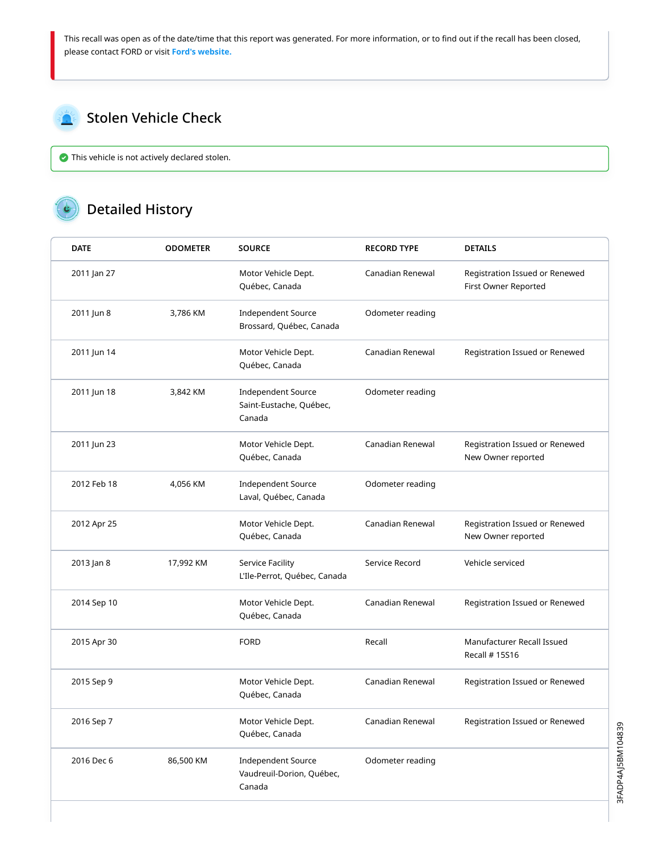This recall was open as of the date/time that this report was generated. For more information, or to find out if the recall has been closed, please contact FORD or visit **[Ford's website.](https://www.ford.com/support/recalls/)**

<span id="page-2-0"></span>

This vehicle is not actively declared stolen.

## Detailed History

| <b>DATE</b> | <b>ODOMETER</b> | <b>SOURCE</b>                                                    | <b>RECORD TYPE</b> | <b>DETAILS</b>                                         |
|-------------|-----------------|------------------------------------------------------------------|--------------------|--------------------------------------------------------|
| 2011 Jan 27 |                 | Motor Vehicle Dept.<br>Québec, Canada                            | Canadian Renewal   | Registration Issued or Renewed<br>First Owner Reported |
| 2011 Jun 8  | 3,786 KM        | <b>Independent Source</b><br>Brossard, Québec, Canada            | Odometer reading   |                                                        |
| 2011 Jun 14 |                 | Motor Vehicle Dept.<br>Québec, Canada                            | Canadian Renewal   | Registration Issued or Renewed                         |
| 2011 Jun 18 | 3,842 KM        | <b>Independent Source</b><br>Saint-Eustache, Québec,<br>Canada   | Odometer reading   |                                                        |
| 2011 Jun 23 |                 | Motor Vehicle Dept.<br>Québec, Canada                            | Canadian Renewal   | Registration Issued or Renewed<br>New Owner reported   |
| 2012 Feb 18 | 4,056 KM        | <b>Independent Source</b><br>Laval, Québec, Canada               | Odometer reading   |                                                        |
| 2012 Apr 25 |                 | Motor Vehicle Dept.<br>Québec, Canada                            | Canadian Renewal   | Registration Issued or Renewed<br>New Owner reported   |
| 2013 Jan 8  | 17,992 KM       | Service Facility<br>L'Ile-Perrot, Québec, Canada                 | Service Record     | Vehicle serviced                                       |
| 2014 Sep 10 |                 | Motor Vehicle Dept.<br>Québec, Canada                            | Canadian Renewal   | Registration Issued or Renewed                         |
| 2015 Apr 30 |                 | <b>FORD</b>                                                      | Recall             | Manufacturer Recall Issued<br>Recall # 15S16           |
| 2015 Sep 9  |                 | Motor Vehicle Dept.<br>Québec, Canada                            | Canadian Renewal   | Registration Issued or Renewed                         |
| 2016 Sep 7  |                 | Motor Vehicle Dept.<br>Québec, Canada                            | Canadian Renewal   | Registration Issued or Renewed                         |
| 2016 Dec 6  | 86,500 KM       | <b>Independent Source</b><br>Vaudreuil-Dorion, Québec,<br>Canada | Odometer reading   |                                                        |